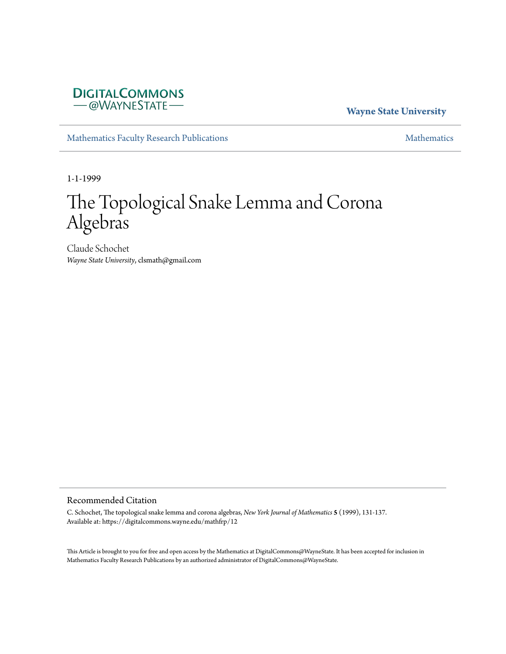## **DIGITALCOMMONS** -@WAYNESTATE-

## **Wayne State University**

[Mathematics Faculty Research Publications](https://digitalcommons.wayne.edu/mathfrp) **[Mathematics](https://digitalcommons.wayne.edu/math)** Mathematics

1-1-1999

# The Topological Snake Lemma and Corona Algebras

Claude Schochet *Wayne State University*, clsmath@gmail.com

## Recommended Citation

C. Schochet, The topological snake lemma and corona algebras, *New York Journal of Mathematics* **5** (1999), 131-137. Available at: https://digitalcommons.wayne.edu/mathfrp/12

This Article is brought to you for free and open access by the Mathematics at DigitalCommons@WayneState. It has been accepted for inclusion in Mathematics Faculty Research Publications by an authorized administrator of DigitalCommons@WayneState.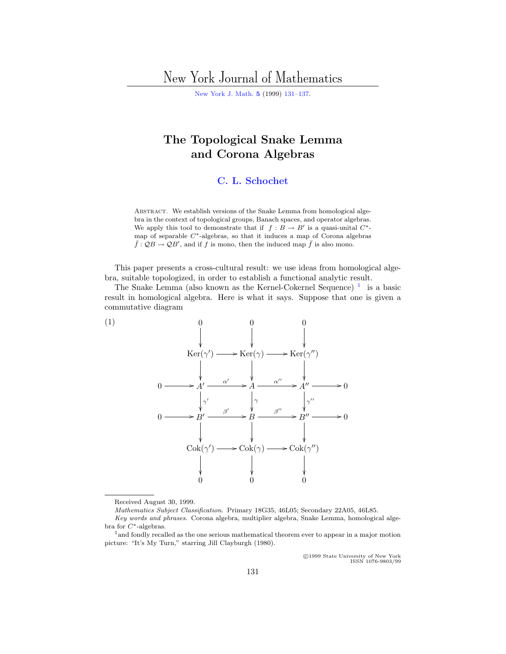# <span id="page-1-0"></span>New York Journal of Mathematics

[New York J. Math.](http://nyjm.albany.edu:8000/nyjm.html) **[5](http://nyjm.albany.edu:8000/j/1999/Vol5.html)** (1999) [131–137.](http://nyjm.albany.edu:8000/j/1999/5-11.html)

# **The Topological Snake Lemma and Corona Algebras**

### **[C. L. Schochet](#page-7-0)**

ABSTRACT. We establish versions of the Snake Lemma from homological algebra in the context of topological groups, Banach spaces, and operator algebras. We apply this tool to demonstrate that if  $f : B \to B'$  is a quasi-unital  $C^*$ map of separable  $C^*$ -algebras, so that it induces a map of Corona algebras  $\bar{f}$ :  $\mathcal{Q}B \to \mathcal{Q}B'$ , and if  $f$  is mono, then the induced map  $\bar{f}$  is also mono.

This paper presents a cross-cultural result: we use ideas from homological algebra, suitable topologized, in order to establish a functional analytic result.

The Snake Lemma (also known as the Kernel-Cokernel Sequence)  $1$  is a basic result in homological algebra. Here is what it says. Suppose that one is given a commutative diagram



Received August 30, 1999.

Mathematics Subject Classification. Primary 18G35, 46L05; Secondary 22A05, 46L85.

c 1999 State University of New York ISSN 1076-9803/99

Key words and phrases. Corona algebra, multiplier algebra, Snake Lemma, homological algebra for C∗-algebras.

<sup>1</sup>and fondly recalled as the one serious mathematical theorem ever to appear in a major motion picture: "It's My Turn," starring Jill Clayburgh (1980).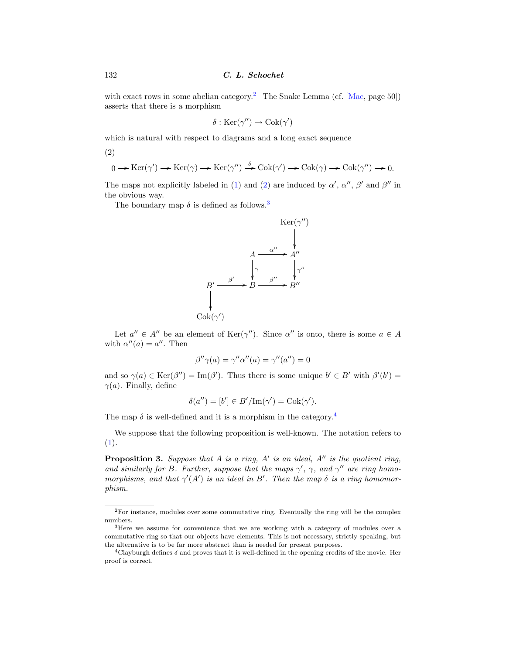<span id="page-2-0"></span>with exact rows in some abelian category.<sup>2</sup> The Snake Lemma (cf. [[Mac](#page-7-0), page 50]) asserts that there is a morphism

$$
\delta : \operatorname{Ker}(\gamma'') \to \operatorname{Cok}(\gamma')
$$

which is natural with respect to diagrams and a long exact sequence

(2)

$$
0 \longrightarrow \text{Ker}(\gamma') \longrightarrow \text{Ker}(\gamma) \longrightarrow \text{Ker}(\gamma'') \stackrel{\delta}{\longrightarrow} \text{Cok}(\gamma') \longrightarrow \text{Cok}(\gamma) \longrightarrow \text{Cok}(\gamma'') \longrightarrow 0.
$$

The maps not explicitly labeled in [\(1](#page-1-0)) and (2) are induced by  $\alpha'$ ,  $\alpha''$ ,  $\beta'$  and  $\beta''$  in the obvious way.

The boundary map  $\delta$  is defined as follows.<sup>3</sup>



Let  $a'' \in A''$  be an element of Ker( $\gamma''$ ). Since  $\alpha''$  is onto, there is some  $a \in A$ with  $\alpha''(a) = a''$ . Then

$$
\beta''\gamma(a) = \gamma''\alpha''(a) = \gamma''(a'') = 0
$$

and so  $\gamma(a) \in \text{Ker}(\beta'') = \text{Im}(\beta')$ . Thus there is some unique  $b' \in B'$  with  $\beta'(b') =$  $\gamma(a)$ . Finally, define

$$
\delta(a'') = [b'] \in B'/\text{Im}(\gamma') = \text{Cok}(\gamma').
$$

The map  $\delta$  is well-defined and it is a morphism in the category.<sup>4</sup>

We suppose that the following proposition is well-known. The notation refers to ([1\)](#page-1-0).

**Proposition 3.** Suppose that  $A$  is a ring,  $A'$  is an ideal,  $A''$  is the quotient ring, and similarly for B. Further, suppose that the maps  $\gamma'$ ,  $\gamma$ , and  $\gamma''$  are ring homomorphisms, and that  $\gamma'(A')$  is an ideal in B'. Then the map  $\delta$  is a ring homomorphism.

<sup>2</sup>For instance, modules over some commutative ring. Eventually the ring will be the complex numbers.

<sup>3</sup>Here we assume for convenience that we are working with a category of modules over a commutative ring so that our objects have elements. This is not necessary, strictly speaking, but the alternative is to be far more abstract than is needed for present purposes.

<sup>&</sup>lt;sup>4</sup>Clayburgh defines  $\delta$  and proves that it is well-defined in the opening credits of the movie. Her proof is correct.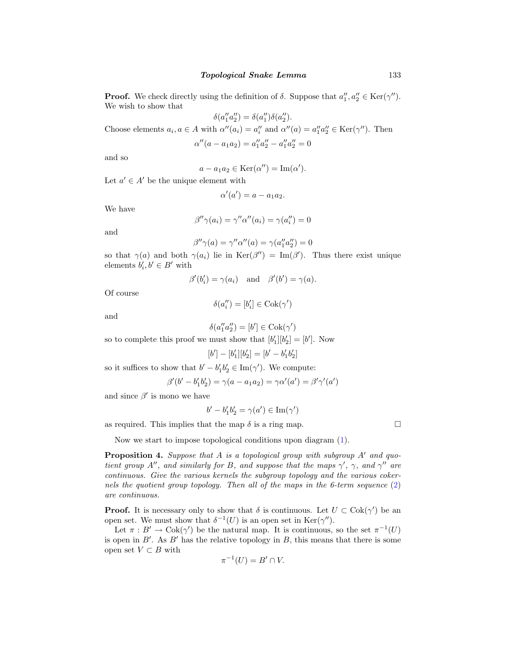**Proof.** We check directly using the definition of  $\delta$ . Suppose that  $a''_1, a''_2 \in \text{Ker}(\gamma'')$ . We wish to show that

 $\delta(a_1''a_2'') = \delta(a_1'')\delta(a_2'').$ Choose elements  $a_i, a \in A$  with  $\alpha''(a_i) = a''_i$  and  $\alpha''(a) = a''_1 a''_2 \in \text{Ker}(\gamma'')$ . Then  $\alpha''(a - a_1 a_2) = a_1'' a_2'' - a_1'' a_2'' = 0$ 

and so

$$
a - a_1 a_2 \in \text{Ker}(\alpha'') = \text{Im}(\alpha').
$$

Let  $a' \in A'$  be the unique element with

$$
\alpha'(a') = a - a_1 a_2.
$$

We have

$$
\beta''\gamma(a_i) = \gamma''\alpha''(a_i) = \gamma(a''_i) = 0
$$

and

$$
\beta''\gamma(a) = \gamma''\alpha''(a) = \gamma(a_1''a_2'') = 0
$$

so that  $\gamma(a)$  and both  $\gamma(a_i)$  lie in  $\text{Ker}(\beta'') = \text{Im}(\beta')$ . Thus there exist unique elements  $b'_i, b' \in B'$  with

$$
\beta'(b'_i) = \gamma(a_i)
$$
 and  $\beta'(b') = \gamma(a)$ .

Of course

$$
\delta(a_i'') = [b_i'] \in \text{Cok}(\gamma')
$$

and

$$
\delta(a_1''a_2'') = [b'] \in \text{Cok}(\gamma')
$$

so to complete this proof we must show that  $[b'_1][b'_2] = [b']$ . Now

$$
[b'] - [b'_1][b'_2] = [b' - b'_1b'_2]
$$

so it suffices to show that  $b' - b'_1 b'_2 \in \text{Im}(\gamma')$ . We compute:

$$
\beta'(b'-b'_1b'_2) = \gamma(a - a_1a_2) = \gamma\alpha'(a') = \beta'\gamma'(a')
$$

and since  $\beta'$  is mono we have

$$
b' - b'_1 b'_2 = \gamma(a') \in \text{Im}(\gamma')
$$

as required. This implies that the map  $\delta$  is a ring map.

Now we start to impose topological conditions upon diagram ([1\)](#page-1-0).

**Proposition 4.** Suppose that  $A$  is a topological group with subgroup  $A'$  and quotient group A'', and similarly for B, and suppose that the maps  $\gamma'$ ,  $\gamma$ , and  $\gamma''$  are continuous. Give the various kernels the subgroup topology and the various cokernels the quotient group topology. Then all of the maps in the 6-term sequence [\(2](#page-2-0)) are continuous.

**Proof.** It is necessary only to show that  $\delta$  is continuous. Let  $U \subset \text{Cok}(\gamma')$  be an open set. We must show that  $\delta^{-1}(U)$  is an open set in Ker( $\gamma''$ ).

Let  $\pi : B' \to \text{Cok}(\gamma')$  be the natural map. It is continuous, so the set  $\pi^{-1}(U)$ is open in  $B'$ . As  $B'$  has the relative topology in  $B$ , this means that there is some open set  $V \subset B$  with

$$
\pi^{-1}(U) = B' \cap V.
$$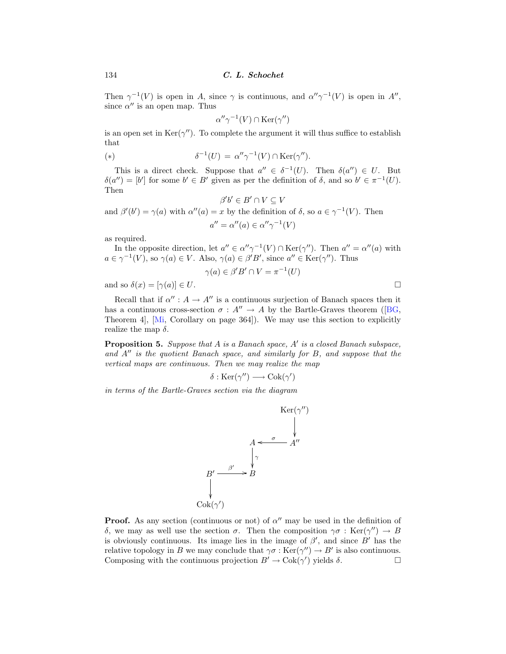Then  $\gamma^{-1}(V)$  is open in A, since  $\gamma$  is continuous, and  $\alpha''\gamma^{-1}(V)$  is open in A'', since  $\alpha''$  is an open map. Thus

$$
\alpha''\gamma^{-1}(V) \cap \text{Ker}(\gamma'')
$$

is an open set in  $\text{Ker}(\gamma'')$ . To complete the argument it will thus suffice to establish that

(\*) 
$$
\delta^{-1}(U) = \alpha'' \gamma^{-1}(V) \cap \text{Ker}(\gamma'').
$$

This is a direct check. Suppose that  $a'' \in \delta^{-1}(U)$ . Then  $\delta(a'') \in U$ . But  $\delta(a'')=[b']$  for some  $b' \in B'$  given as per the definition of  $\delta$ , and so  $b' \in \pi^{-1}(U)$ . Then

$$
\beta'b' \in B' \cap V \subseteq V
$$

and  $\beta'(b') = \gamma(a)$  with  $\alpha''(a) = x$  by the definition of  $\delta$ , so  $a \in \gamma^{-1}(V)$ . Then  $a'' = \alpha''(a) \in \alpha''\gamma^{-1}(V)$ 

as required.

In the opposite direction, let  $a'' \in \alpha'' \gamma^{-1}(V) \cap \text{Ker}(\gamma'')$ . Then  $a'' = \alpha''(a)$  with  $a \in \gamma^{-1}(V)$ , so  $\gamma(a) \in V$ . Also,  $\gamma(a) \in \beta'B'$ , since  $a'' \in \text{Ker}(\gamma'')$ . Thus

$$
\gamma(a) \in \beta' B' \cap V = \pi^{-1}(U)
$$

and so  $\delta(x)=[\gamma(a)] \in U$ .

Recall that if  $\alpha'' : A \to A''$  is a continuous surjection of Banach spaces then it has a continuous cross-section  $\sigma : A'' \to A$  by the Bartle-Graves theorem ([[BG,](#page-7-0) Theorem 4], [\[Mi,](#page-7-0) Corollary on page 364]). We may use this section to explicitly realize the map  $\delta$ .

**Proposition 5.** Suppose that  $A$  is a Banach space,  $A'$  is a closed Banach subspace, and  $A''$  is the quotient Banach space, and similarly for  $B$ , and suppose that the vertical maps are continuous. Then we may realize the map

$$
\delta : \operatorname{Ker}(\gamma'') \longrightarrow \operatorname{Cok}(\gamma')
$$

in terms of the Bartle-Graves section via the diagram



**Proof.** As any section (continuous or not) of  $\alpha''$  may be used in the definition of δ, we may as well use the section  $\sigma$ . Then the composition  $\gamma\sigma : \text{Ker}(\gamma'') \to B$ is obviously continuous. Its image lies in the image of  $\beta'$ , and since  $B'$  has the relative topology in B we may conclude that  $\gamma \sigma : \text{Ker}(\gamma'') \to B'$  is also continuous.<br>Composing with the continuous projection  $B' \to \text{Cok}(\gamma')$  yields  $\delta$ . Composing with the continuous projection  $B' \to \text{Cok}(\gamma')$  yields  $\delta$ .

$$
\Box
$$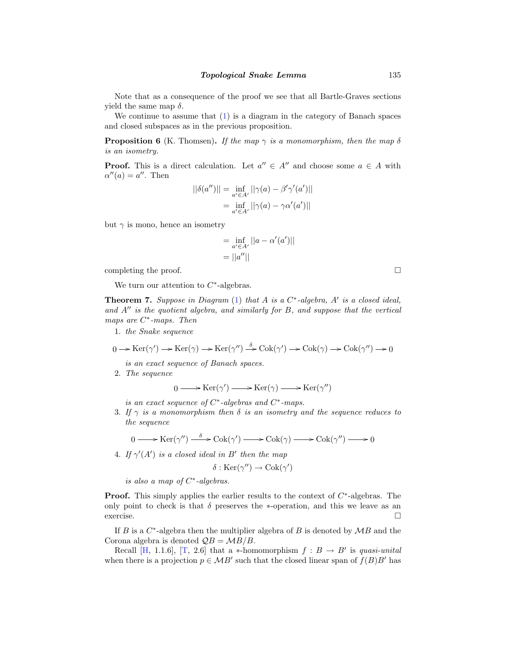Note that as a consequence of the proof we see that all Bartle-Graves sections yield the same map  $\delta$ .

We continue to assume that  $(1)$  $(1)$  is a diagram in the category of Banach spaces and closed subspaces as in the previous proposition.

**Proposition 6** (K. Thomsen). If the map  $\gamma$  is a monomorphism, then the map  $\delta$ is an isometry.

**Proof.** This is a direct calculation. Let  $a'' \in A''$  and choose some  $a \in A$  with  $\alpha''(a) = a''$ . Then

$$
||\delta(a'')|| = \inf_{a' \in A'} ||\gamma(a) - \beta'\gamma'(a')||
$$
  
= 
$$
\inf_{a' \in A'} ||\gamma(a) - \gamma\alpha'(a')||
$$

but  $\gamma$  is mono, hence an isometry

$$
= \inf_{a' \in A'} ||a - \alpha'(a')||
$$
  
= ||a''||

completing the proof.  $\Box$ 

We turn our attention to  $C^*$ -algebras.

**Theorem 7.** Suppose in Diagram  $(1)$  $(1)$  that A is a  $C^*$ -algebra, A' is a closed ideal, and  $A''$  is the quotient algebra, and similarly for  $B$ , and suppose that the vertical maps are  $C^*$ -maps. Then

1. the Snake sequence

$$
0 \to \text{Ker}(\gamma') \to \text{Ker}(\gamma) \to \text{Ker}(\gamma'') \xrightarrow{\delta} \text{Cok}(\gamma') \to \text{Cok}(\gamma) \to \text{Cok}(\gamma'') \to 0
$$

is an exact sequence of Banach spaces.

2. The sequence

$$
0 \longrightarrow \text{Ker}(\gamma') \longrightarrow \text{Ker}(\gamma) \longrightarrow \text{Ker}(\gamma'')
$$

is an exact sequence of  $C^*$ -algebras and  $C^*$ -maps.

3. If  $\gamma$  is a monomorphism then  $\delta$  is an isometry and the sequence reduces to the sequence

$$
0 \longrightarrow \text{Ker}(\gamma'') \stackrel{\delta}{\longrightarrow} \text{Cok}(\gamma') \longrightarrow \text{Cok}(\gamma) \longrightarrow \text{Cok}(\gamma'') \longrightarrow 0
$$

4. If  $\gamma'(A')$  is a closed ideal in B' then the map

$$
\delta : \text{Ker}(\gamma'') \to \text{Cok}(\gamma')
$$

is also a map of  $C^*$ -algebras.

**Proof.** This simply applies the earlier results to the context of  $C^*$ -algebras. The only point to check is that  $\delta$  preserves the ∗-operation, and this we leave as an exercise.  $\hfill \Box$ exercise.  $\Box$ 

If B is a  $C^*$ -algebra then the multiplier algebra of B is denoted by  $MB$  and the Corona algebra is denoted  $\mathcal{Q}B = \mathcal{M}B/B$ .

Recall [\[H,](#page-7-0) 1.1.6], [\[T](#page-7-0), 2.6] that a  $*$ -homomorphism  $f : B \to B'$  is quasi-unital when there is a projection  $p \in MB'$  such that the closed linear span of  $f(B)B'$  has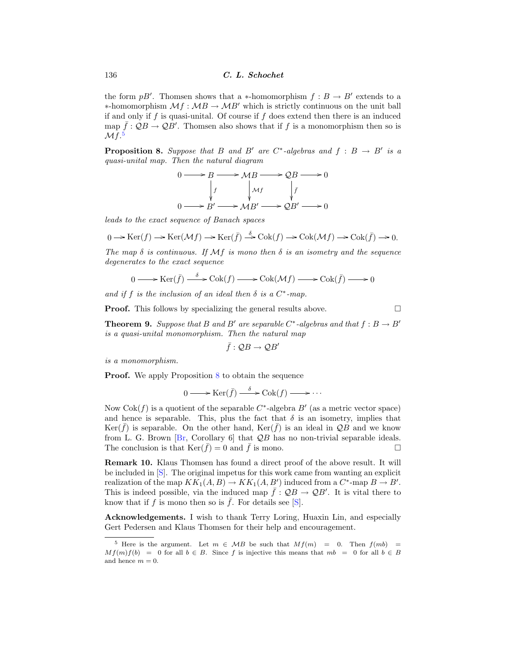the form  $pB'$ . Thomsen shows that a ∗-homomorphism  $f : B \to B'$  extends to a  $\ast$ -homomorphism  $\mathcal{M}f : \mathcal{M}B \rightarrow \mathcal{M}B'$  which is strictly continuous on the unit ball if and only if f is quasi-unital. Of course if f does extend then there is an induced map  $\bar{f}$ :  $\mathcal{Q}B \to \mathcal{Q}B'$ . Thomsen also shows that if f is a monomorphism then so is  $\mathcal{M}f$ .<sup>5</sup>

**Proposition 8.** Suppose that B and B' are C<sup>∗</sup>-algebras and  $f : B \rightarrow B'$  is a quasi-unital map. Then the natural diagram

$$
0 \longrightarrow B \longrightarrow MB \longrightarrow QB \longrightarrow 0
$$
  
\n
$$
\downarrow f \qquad \qquad \downarrow Mf \qquad \qquad \downarrow \bar{f}
$$
  
\n
$$
0 \longrightarrow B' \longrightarrow MB' \longrightarrow QB' \longrightarrow 0
$$

leads to the exact sequence of Banach spaces

$$
0 \to \text{Ker}(f) \to \text{Ker}(\mathcal{M}f) \to \text{Ker}(\bar{f}) \stackrel{\delta}{\to} \text{Cok}(f) \to \text{Cok}(\mathcal{M}f) \to \text{Cok}(\bar{f}) \to 0.
$$

The map  $\delta$  is continuous. If M f is mono then  $\delta$  is an isometry and the sequence degenerates to the exact sequence

$$
0 \longrightarrow \text{Ker}(\bar{f}) \xrightarrow{\delta} \text{Cok}(f) \longrightarrow \text{Cok}(\mathcal{M}f) \longrightarrow \text{Cok}(\bar{f}) \longrightarrow 0
$$

and if f is the inclusion of an ideal then  $\delta$  is a  $C^*$ -map.

**Proof.** This follows by specializing the general results above.  $\square$ 

**Theorem 9.** Suppose that B and B' are separable C<sup>\*</sup>-algebras and that  $f : B \to B'$ is a quasi-unital monomorphism. Then the natural map

$$
\bar{f}: \mathcal{Q}B \to \mathcal{Q}B'
$$

is a monomorphism.

**Proof.** We apply Proposition 8 to obtain the sequence

$$
0 \longrightarrow \text{Ker}(\bar{f}) \stackrel{\delta}{\longrightarrow} \text{Cok}(f) \longrightarrow \cdots
$$

Now  $Cok(f)$  is a quotient of the separable  $C^*$ -algebra  $B'$  (as a metric vector space) and hence is separable. This, plus the fact that  $\delta$  is an isometry, implies that  $\text{Ker}(\bar{f})$  is separable. On the other hand,  $\text{Ker}(\bar{f})$  is an ideal in  $\mathcal{Q}B$  and we know from L. G. Brown [[Br,](#page-7-0) Corollary 6] that  $QB$  has no non-trivial separable ideals.<br>The conclusion is that  $Ker(\bar{f}) = 0$  and  $\bar{f}$  is mono The conclusion is that  $\text{Ker}(\bar{f}) = 0$  and  $\bar{f}$  is mono.

**Remark 10.** Klaus Thomsen has found a direct proof of the above result. It will be included in [\[S\]](#page-7-0). The original impetus for this work came from wanting an explicit realization of the map  $KK_1(A, B) \to KK_1(A, B')$  induced from a  $C^*$ -map  $B \to B'$ . This is indeed possible, via the induced map  $\bar{f}: \mathcal{Q}B \to \mathcal{Q}B'$ . It is vital there to know that if f is mono then so is  $\bar{f}$ . For details see [\[S\]](#page-7-0).

**Acknowledgements.** I wish to thank Terry Loring, Huaxin Lin, and especially Gert Pedersen and Klaus Thomsen for their help and encouragement.

<sup>&</sup>lt;sup>5</sup> Here is the argument. Let  $m \in MB$  be such that  $Mf(m) = 0$ . Then  $f(mb) =$  $M f(m) f(b) = 0$  for all  $b \in B$ . Since f is injective this means that  $m b = 0$  for all  $b \in B$ and hence  $m = 0$ .